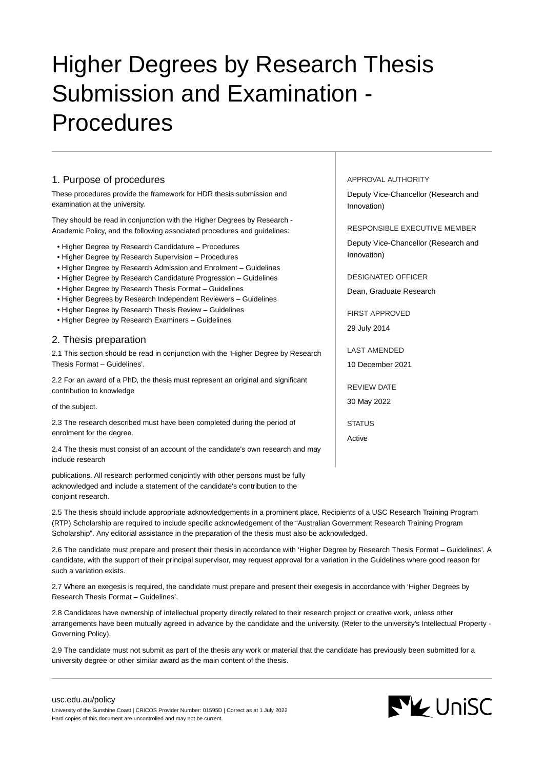# Higher Degrees by Research Thesis Submission and Examination - Procedures

# 1. Purpose of procedures

These procedures provide the framework for HDR thesis submission and examination at the university.

They should be read in conjunction with the Higher Degrees by Research - Academic Policy, and the following associated procedures and guidelines:

- Higher Degree by Research Candidature Procedures
- Higher Degree by Research Supervision Procedures
- Higher Degree by Research Admission and Enrolment Guidelines
- Higher Degree by Research Candidature Progression Guidelines
- Higher Degree by Research Thesis Format Guidelines
- Higher Degrees by Research Independent Reviewers Guidelines
- Higher Degree by Research Thesis Review Guidelines
- Higher Degree by Research Examiners Guidelines

## 2. Thesis preparation

2.1 This section should be read in conjunction with the 'Higher Degree by Research Thesis Format – Guidelines'.

2.2 For an award of a PhD, the thesis must represent an original and significant contribution to knowledge

#### of the subject.

2.3 The research described must have been completed during the period of enrolment for the degree.

2.4 The thesis must consist of an account of the candidate's own research and may include research

publications. All research performed conjointly with other persons must be fully acknowledged and include a statement of the candidate's contribution to the conjoint research.

2.5 The thesis should include appropriate acknowledgements in a prominent place. Recipients of a USC Research Training Program (RTP) Scholarship are required to include specific acknowledgement of the "Australian Government Research Training Program Scholarship". Any editorial assistance in the preparation of the thesis must also be acknowledged.

2.6 The candidate must prepare and present their thesis in accordance with 'Higher Degree by Research Thesis Format – Guidelines'. A candidate, with the support of their principal supervisor, may request approval for a variation in the Guidelines where good reason for such a variation exists.

2.7 Where an exegesis is required, the candidate must prepare and present their exegesis in accordance with 'Higher Degrees by Research Thesis Format – Guidelines'.

2.8 Candidates have ownership of intellectual property directly related to their research project or creative work, unless other arrangements have been mutually agreed in advance by the candidate and the university. (Refer to the university's Intellectual Property - Governing Policy).

2.9 The candidate must not submit as part of the thesis any work or material that the candidate has previously been submitted for a university degree or other similar award as the main content of the thesis.

#### APPROVAL AUTHORITY

Deputy Vice-Chancellor (Research and Innovation)

RESPONSIBLE EXECUTIVE MEMBER

Deputy Vice-Chancellor (Research and Innovation)

DESIGNATED OFFICER

Dean, Graduate Research

FIRST APPROVED 29 July 2014

LAST AMENDED

10 December 2021

REVIEW DATE

30 May 2022

**STATUS** Active

[usc.edu.au/policy](https://www.usc.edu.au/policy)

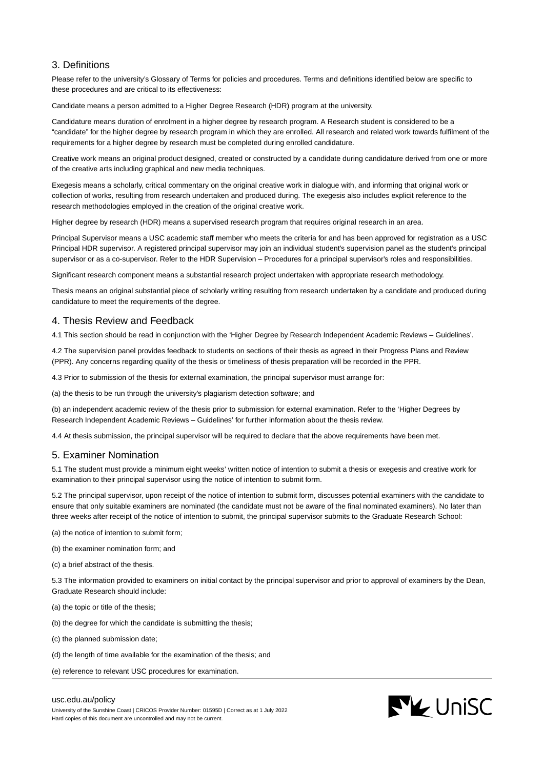# 3. Definitions

Please refer to the university's Glossary of Terms for policies and procedures. Terms and definitions identified below are specific to these procedures and are critical to its effectiveness:

Candidate means a person admitted to a Higher Degree Research (HDR) program at the university.

Candidature means duration of enrolment in a higher degree by research program. A Research student is considered to be a "candidate" for the higher degree by research program in which they are enrolled. All research and related work towards fulfilment of the requirements for a higher degree by research must be completed during enrolled candidature.

Creative work means an original product designed, created or constructed by a candidate during candidature derived from one or more of the creative arts including graphical and new media techniques.

Exegesis means a scholarly, critical commentary on the original creative work in dialogue with, and informing that original work or collection of works, resulting from research undertaken and produced during. The exegesis also includes explicit reference to the research methodologies employed in the creation of the original creative work.

Higher degree by research (HDR) means a supervised research program that requires original research in an area.

Principal Supervisor means a USC academic staff member who meets the criteria for and has been approved for registration as a USC Principal HDR supervisor. A registered principal supervisor may join an individual student's supervision panel as the student's principal supervisor or as a co-supervisor. Refer to the HDR Supervision – Procedures for a principal supervisor's roles and responsibilities.

Significant research component means a substantial research project undertaken with appropriate research methodology.

Thesis means an original substantial piece of scholarly writing resulting from research undertaken by a candidate and produced during candidature to meet the requirements of the degree.

## 4. Thesis Review and Feedback

4.1 This section should be read in conjunction with the 'Higher Degree by Research Independent Academic Reviews – Guidelines'.

4.2 The supervision panel provides feedback to students on sections of their thesis as agreed in their Progress Plans and Review (PPR). Any concerns regarding quality of the thesis or timeliness of thesis preparation will be recorded in the PPR.

4.3 Prior to submission of the thesis for external examination, the principal supervisor must arrange for:

(a) the thesis to be run through the university's plagiarism detection software; and

(b) an independent academic review of the thesis prior to submission for external examination. Refer to the 'Higher Degrees by Research Independent Academic Reviews – Guidelines' for further information about the thesis review.

4.4 At thesis submission, the principal supervisor will be required to declare that the above requirements have been met.

## 5. Examiner Nomination

5.1 The student must provide a minimum eight weeks' written notice of intention to submit a thesis or exegesis and creative work for examination to their principal supervisor using the notice of intention to submit form.

5.2 The principal supervisor, upon receipt of the notice of intention to submit form, discusses potential examiners with the candidate to ensure that only suitable examiners are nominated (the candidate must not be aware of the final nominated examiners). No later than three weeks after receipt of the notice of intention to submit, the principal supervisor submits to the Graduate Research School:

- (a) the notice of intention to submit form;
- (b) the examiner nomination form; and
- (c) a brief abstract of the thesis.

5.3 The information provided to examiners on initial contact by the principal supervisor and prior to approval of examiners by the Dean, Graduate Research should include:

(a) the topic or title of the thesis;

- (b) the degree for which the candidate is submitting the thesis;
- (c) the planned submission date;
- (d) the length of time available for the examination of the thesis; and
- (e) reference to relevant USC procedures for examination.



#### [usc.edu.au/policy](https://www.usc.edu.au/policy)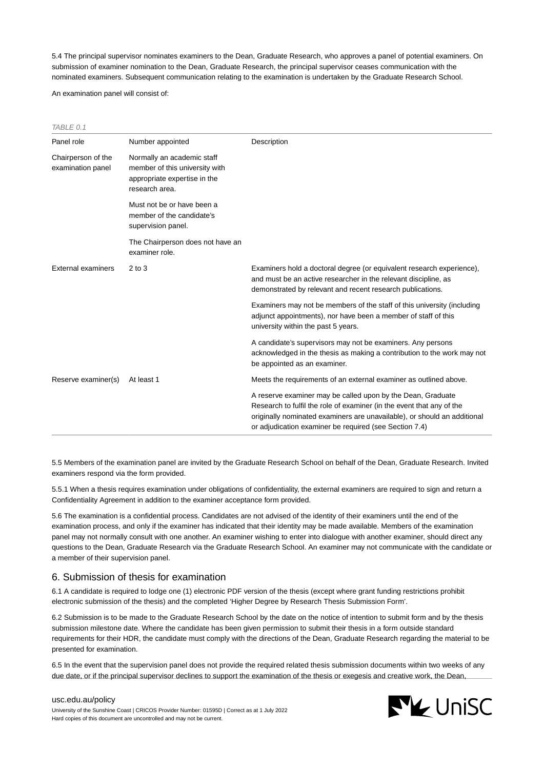5.4 The principal supervisor nominates examiners to the Dean, Graduate Research, who approves a panel of potential examiners. On submission of examiner nomination to the Dean, Graduate Research, the principal supervisor ceases communication with the nominated examiners. Subsequent communication relating to the examination is undertaken by the Graduate Research School.

An examination panel will consist of:

| Panel role                              | Number appointed                                                                                               | Description                                                                                                                                                                                                                                                                |
|-----------------------------------------|----------------------------------------------------------------------------------------------------------------|----------------------------------------------------------------------------------------------------------------------------------------------------------------------------------------------------------------------------------------------------------------------------|
| Chairperson of the<br>examination panel | Normally an academic staff<br>member of this university with<br>appropriate expertise in the<br>research area. |                                                                                                                                                                                                                                                                            |
|                                         | Must not be or have been a<br>member of the candidate's<br>supervision panel.                                  |                                                                                                                                                                                                                                                                            |
|                                         | The Chairperson does not have an<br>examiner role.                                                             |                                                                                                                                                                                                                                                                            |
| External examiners                      | $2$ to $3$                                                                                                     | Examiners hold a doctoral degree (or equivalent research experience),<br>and must be an active researcher in the relevant discipline, as<br>demonstrated by relevant and recent research publications.                                                                     |
|                                         |                                                                                                                | Examiners may not be members of the staff of this university (including<br>adjunct appointments), nor have been a member of staff of this<br>university within the past 5 years.                                                                                           |
|                                         |                                                                                                                | A candidate's supervisors may not be examiners. Any persons<br>acknowledged in the thesis as making a contribution to the work may not<br>be appointed as an examiner.                                                                                                     |
| Reserve examiner(s)                     | At least 1                                                                                                     | Meets the requirements of an external examiner as outlined above.                                                                                                                                                                                                          |
|                                         |                                                                                                                | A reserve examiner may be called upon by the Dean, Graduate<br>Research to fulfil the role of examiner (in the event that any of the<br>originally nominated examiners are unavailable), or should an additional<br>or adjudication examiner be required (see Section 7.4) |

5.5 Members of the examination panel are invited by the Graduate Research School on behalf of the Dean, Graduate Research. Invited examiners respond via the form provided.

5.5.1 When a thesis requires examination under obligations of confidentiality, the external examiners are required to sign and return a Confidentiality Agreement in addition to the examiner acceptance form provided.

5.6 The examination is a confidential process. Candidates are not advised of the identity of their examiners until the end of the examination process, and only if the examiner has indicated that their identity may be made available. Members of the examination panel may not normally consult with one another. An examiner wishing to enter into dialogue with another examiner, should direct any questions to the Dean, Graduate Research via the Graduate Research School. An examiner may not communicate with the candidate or a member of their supervision panel.

## 6. Submission of thesis for examination

6.1 A candidate is required to lodge one (1) electronic PDF version of the thesis (except where grant funding restrictions prohibit electronic submission of the thesis) and the completed 'Higher Degree by Research Thesis Submission Form'.

6.2 Submission is to be made to the Graduate Research School by the date on the notice of intention to submit form and by the thesis submission milestone date. Where the candidate has been given permission to submit their thesis in a form outside standard requirements for their HDR, the candidate must comply with the directions of the Dean, Graduate Research regarding the material to be presented for examination.

6.5 In the event that the supervision panel does not provide the required related thesis submission documents within two weeks of any due date, or if the principal supervisor declines to support the examination of the thesis or exegesis and creative work, the Dean,

# **NV** UniSC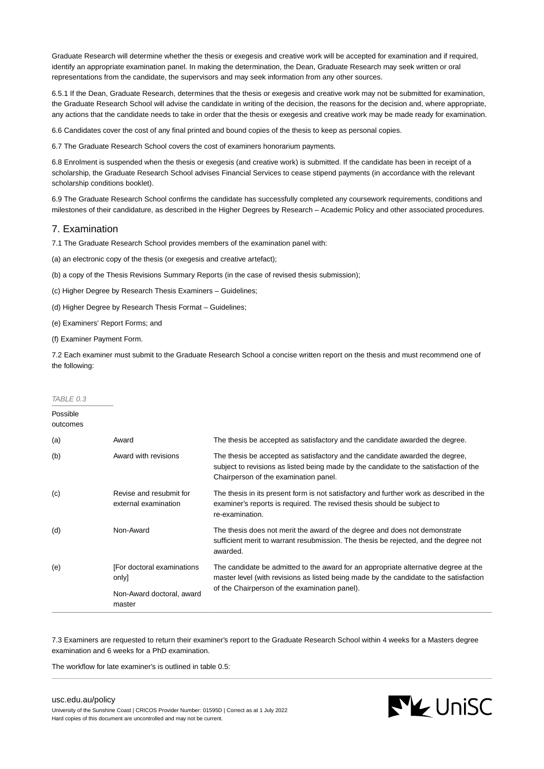Graduate Research will determine whether the thesis or exegesis and creative work will be accepted for examination and if required, identify an appropriate examination panel. In making the determination, the Dean, Graduate Research may seek written or oral representations from the candidate, the supervisors and may seek information from any other sources.

6.5.1 If the Dean, Graduate Research, determines that the thesis or exegesis and creative work may not be submitted for examination, the Graduate Research School will advise the candidate in writing of the decision, the reasons for the decision and, where appropriate, any actions that the candidate needs to take in order that the thesis or exegesis and creative work may be made ready for examination.

6.6 Candidates cover the cost of any final printed and bound copies of the thesis to keep as personal copies.

6.7 The Graduate Research School covers the cost of examiners honorarium payments.

6.8 Enrolment is suspended when the thesis or exegesis (and creative work) is submitted. If the candidate has been in receipt of a scholarship, the Graduate Research School advises Financial Services to cease stipend payments (in accordance with the relevant scholarship conditions booklet).

6.9 The Graduate Research School confirms the candidate has successfully completed any coursework requirements, conditions and milestones of their candidature, as described in the Higher Degrees by Research – Academic Policy and other associated procedures.

## 7. Examination

7.1 The Graduate Research School provides members of the examination panel with:

(a) an electronic copy of the thesis (or exegesis and creative artefact);

(b) a copy of the Thesis Revisions Summary Reports (in the case of revised thesis submission);

(c) Higher Degree by Research Thesis Examiners – Guidelines;

(d) Higher Degree by Research Thesis Format – Guidelines;

(e) Examiners' Report Forms; and

(f) Examiner Payment Form.

7.2 Each examiner must submit to the Graduate Research School a concise written report on the thesis and must recommend one of the following:

| TABLE 0.3            |                                                 |                                                                                                                                                                                                                |  |
|----------------------|-------------------------------------------------|----------------------------------------------------------------------------------------------------------------------------------------------------------------------------------------------------------------|--|
| Possible<br>outcomes |                                                 |                                                                                                                                                                                                                |  |
| (a)                  | Award                                           | The thesis be accepted as satisfactory and the candidate awarded the degree.                                                                                                                                   |  |
| (b)                  | Award with revisions                            | The thesis be accepted as satisfactory and the candidate awarded the degree,<br>subject to revisions as listed being made by the candidate to the satisfaction of the<br>Chairperson of the examination panel. |  |
| (c)                  | Revise and resubmit for<br>external examination | The thesis in its present form is not satisfactory and further work as described in the<br>examiner's reports is required. The revised thesis should be subject to<br>re-examination.                          |  |
| (d)                  | Non-Award                                       | The thesis does not merit the award of the degree and does not demonstrate<br>sufficient merit to warrant resubmission. The thesis be rejected, and the degree not<br>awarded.                                 |  |
| (e)                  | [For doctoral examinations<br>only]             | The candidate be admitted to the award for an appropriate alternative degree at the<br>master level (with revisions as listed being made by the candidate to the satisfaction                                  |  |
|                      | Non-Award doctoral, award<br>master             | of the Chairperson of the examination panel).                                                                                                                                                                  |  |

7.3 Examiners are requested to return their examiner's report to the Graduate Research School within 4 weeks for a Masters degree examination and 6 weeks for a PhD examination.

The workflow for late examiner's is outlined in table 0.5:

## [usc.edu.au/policy](https://www.usc.edu.au/policy)

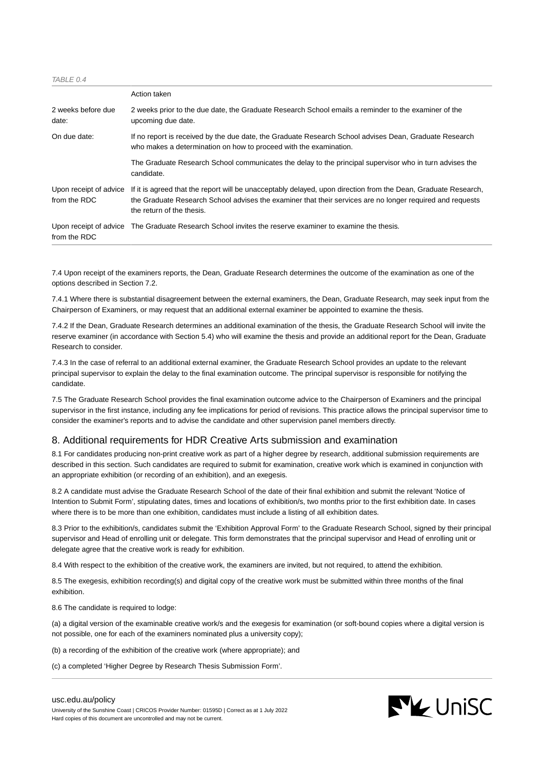TABLE 0.4

|                                        | Action taken                                                                                                                                                                                                                                             |
|----------------------------------------|----------------------------------------------------------------------------------------------------------------------------------------------------------------------------------------------------------------------------------------------------------|
| 2 weeks before due<br>date:            | 2 weeks prior to the due date, the Graduate Research School emails a reminder to the examiner of the<br>upcoming due date.                                                                                                                               |
| On due date:                           | If no report is received by the due date, the Graduate Research School advises Dean, Graduate Research<br>who makes a determination on how to proceed with the examination.                                                                              |
|                                        | The Graduate Research School communicates the delay to the principal supervisor who in turn advises the<br>candidate.                                                                                                                                    |
| Upon receipt of advice<br>from the RDC | If it is agreed that the report will be unacceptably delayed, upon direction from the Dean, Graduate Research,<br>the Graduate Research School advises the examiner that their services are no longer required and requests<br>the return of the thesis. |
| from the RDC                           | Upon receipt of advice The Graduate Research School invites the reserve examiner to examine the thesis.                                                                                                                                                  |

7.4 Upon receipt of the examiners reports, the Dean, Graduate Research determines the outcome of the examination as one of the options described in Section 7.2.

7.4.1 Where there is substantial disagreement between the external examiners, the Dean, Graduate Research, may seek input from the Chairperson of Examiners, or may request that an additional external examiner be appointed to examine the thesis.

7.4.2 If the Dean, Graduate Research determines an additional examination of the thesis, the Graduate Research School will invite the reserve examiner (in accordance with Section 5.4) who will examine the thesis and provide an additional report for the Dean, Graduate Research to consider.

7.4.3 In the case of referral to an additional external examiner, the Graduate Research School provides an update to the relevant principal supervisor to explain the delay to the final examination outcome. The principal supervisor is responsible for notifying the candidate.

7.5 The Graduate Research School provides the final examination outcome advice to the Chairperson of Examiners and the principal supervisor in the first instance, including any fee implications for period of revisions. This practice allows the principal supervisor time to consider the examiner's reports and to advise the candidate and other supervision panel members directly.

## 8. Additional requirements for HDR Creative Arts submission and examination

8.1 For candidates producing non-print creative work as part of a higher degree by research, additional submission requirements are described in this section. Such candidates are required to submit for examination, creative work which is examined in conjunction with an appropriate exhibition (or recording of an exhibition), and an exegesis.

8.2 A candidate must advise the Graduate Research School of the date of their final exhibition and submit the relevant 'Notice of Intention to Submit Form', stipulating dates, times and locations of exhibition/s, two months prior to the first exhibition date. In cases where there is to be more than one exhibition, candidates must include a listing of all exhibition dates.

8.3 Prior to the exhibition/s, candidates submit the 'Exhibition Approval Form' to the Graduate Research School, signed by their principal supervisor and Head of enrolling unit or delegate. This form demonstrates that the principal supervisor and Head of enrolling unit or delegate agree that the creative work is ready for exhibition.

8.4 With respect to the exhibition of the creative work, the examiners are invited, but not required, to attend the exhibition.

8.5 The exegesis, exhibition recording(s) and digital copy of the creative work must be submitted within three months of the final exhibition.

8.6 The candidate is required to lodge:

(a) a digital version of the examinable creative work/s and the exegesis for examination (or soft-bound copies where a digital version is not possible, one for each of the examiners nominated plus a university copy);

(b) a recording of the exhibition of the creative work (where appropriate); and

(c) a completed 'Higher Degree by Research Thesis Submission Form'.

#### [usc.edu.au/policy](https://www.usc.edu.au/policy)

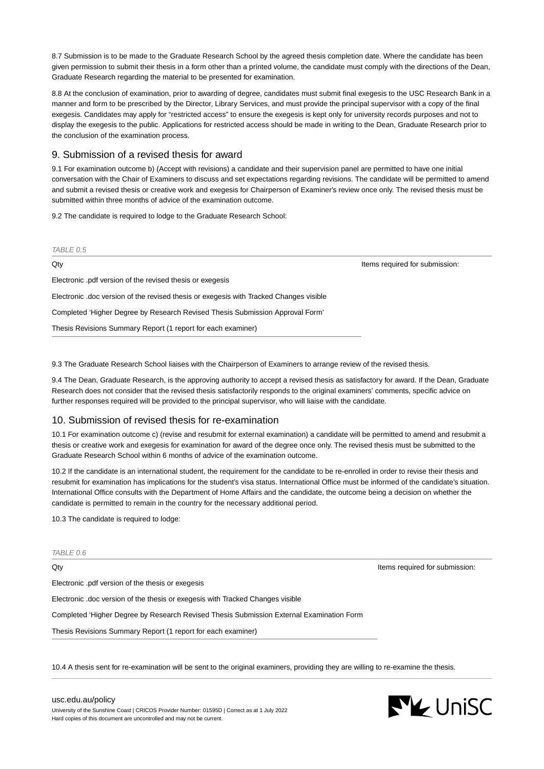8.7 Submission is to be made to the Graduate Research School by the agreed thesis completion date. Where the candidate has been given permission to submit their thesis in a form other than a printed volume, the candidate must comply with the directions of the Dean, Graduate Research regarding the material to be presented for examination.

8.8 At the conclusion of examination, prior to awarding of degree, candidates must submit final exegesis to the USC Research Bank in a manner and form to be prescribed by the Director, Library Services, and must provide the principal supervisor with a copy of the final exegesis. Candidates may apply for "restricted access" to ensure the exegesis is kept only for university records purposes and not to display the exegesis to the public. Applications for restricted access should be made in writing to the Dean, Graduate Research prior to the conclusion of the examination process.

## 9. Submission of a revised thesis for award

9.1 For examination outcome b) (Accept with revisions) a candidate and their supervision panel are permitted to have one initial conversation with the Chair of Examiners to discuss and set expectations regarding revisions. The candidate will be permitted to amend and submit a revised thesis or creative work and exegesis for Chairperson of Examiner's review once only. The revised thesis must be submitted within three months of advice of the examination outcome.

9.2 The candidate is required to lodge to the Graduate Research School:

TABLE  $0.5$ Qty **Items required for submission: Qty** Items required for submission: Electronic .pdf version of the revised thesis or exegesis Electronic .doc version of the revised thesis or exegesis with Tracked Changes visible Completed 'Higher Degree by Research Revised Thesis Submission Approval Form' Thesis Revisions Summary Report (1 report for each examiner)

9.3 The Graduate Research School liaises with the Chairperson of Examiners to arrange review of the revised thesis.

9.4 The Dean, Graduate Research, is the approving authority to accept a revised thesis as satisfactory for award. If the Dean, Graduate Research does not consider that the revised thesis satisfactorily responds to the original examiners' comments, specific advice on further responses required will be provided to the principal supervisor, who will liaise with the candidate.

## 10. Submission of revised thesis for re-examination

10.1 For examination outcome c) (revise and resubmit for external examination) a candidate will be permitted to amend and resubmit a thesis or creative work and exegesis for examination for award of the degree once only. The revised thesis must be submitted to the Graduate Research School within 6 months of advice of the examination outcome.

10.2 If the candidate is an international student, the requirement for the candidate to be re-enrolled in order to revise their thesis and resubmit for examination has implications for the student's visa status. International Office must be informed of the candidate's situation. International Office consults with the Department of Home Affairs and the candidate, the outcome being a decision on whether the candidate is permitted to remain in the country for the necessary additional period.

10.3 The candidate is required to lodge:

#### TABLE 0.6

Electronic .pdf version of the thesis or exegesis

Electronic .doc version of the thesis or exegesis with Tracked Changes visible

Completed 'Higher Degree by Research Revised Thesis Submission External Examination Form

Thesis Revisions Summary Report (1 report for each examiner)

10.4 A thesis sent for re-examination will be sent to the original examiners, providing they are willing to re-examine the thesis.



Qty **Items required for submission:**  $\qquad \qquad$  Items required for submission: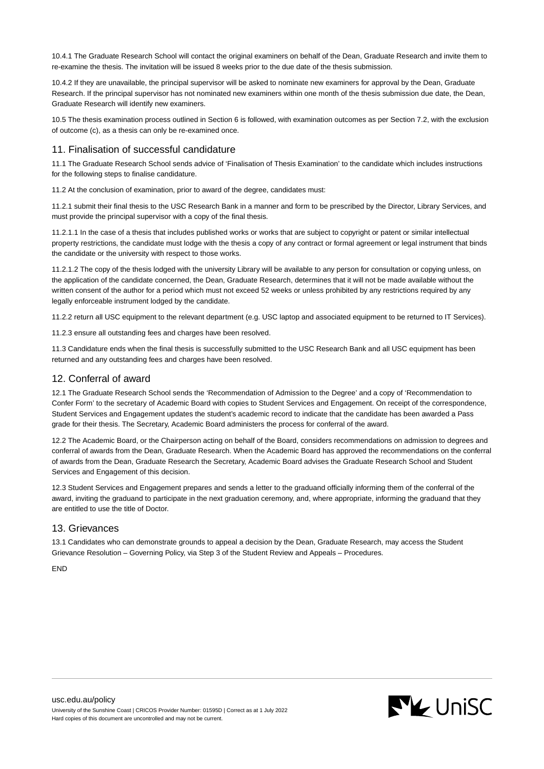10.4.1 The Graduate Research School will contact the original examiners on behalf of the Dean, Graduate Research and invite them to re-examine the thesis. The invitation will be issued 8 weeks prior to the due date of the thesis submission.

10.4.2 If they are unavailable, the principal supervisor will be asked to nominate new examiners for approval by the Dean, Graduate Research. If the principal supervisor has not nominated new examiners within one month of the thesis submission due date, the Dean, Graduate Research will identify new examiners.

10.5 The thesis examination process outlined in Section 6 is followed, with examination outcomes as per Section 7.2, with the exclusion of outcome (c), as a thesis can only be re-examined once.

# 11. Finalisation of successful candidature

11.1 The Graduate Research School sends advice of 'Finalisation of Thesis Examination' to the candidate which includes instructions for the following steps to finalise candidature.

11.2 At the conclusion of examination, prior to award of the degree, candidates must:

11.2.1 submit their final thesis to the USC Research Bank in a manner and form to be prescribed by the Director, Library Services, and must provide the principal supervisor with a copy of the final thesis.

11.2.1.1 In the case of a thesis that includes published works or works that are subject to copyright or patent or similar intellectual property restrictions, the candidate must lodge with the thesis a copy of any contract or formal agreement or legal instrument that binds the candidate or the university with respect to those works.

11.2.1.2 The copy of the thesis lodged with the university Library will be available to any person for consultation or copying unless, on the application of the candidate concerned, the Dean, Graduate Research, determines that it will not be made available without the written consent of the author for a period which must not exceed 52 weeks or unless prohibited by any restrictions required by any legally enforceable instrument lodged by the candidate.

11.2.2 return all USC equipment to the relevant department (e.g. USC laptop and associated equipment to be returned to IT Services).

11.2.3 ensure all outstanding fees and charges have been resolved.

11.3 Candidature ends when the final thesis is successfully submitted to the USC Research Bank and all USC equipment has been returned and any outstanding fees and charges have been resolved.

# 12. Conferral of award

12.1 The Graduate Research School sends the 'Recommendation of Admission to the Degree' and a copy of 'Recommendation to Confer Form' to the secretary of Academic Board with copies to Student Services and Engagement. On receipt of the correspondence, Student Services and Engagement updates the student's academic record to indicate that the candidate has been awarded a Pass grade for their thesis. The Secretary, Academic Board administers the process for conferral of the award.

12.2 The Academic Board, or the Chairperson acting on behalf of the Board, considers recommendations on admission to degrees and conferral of awards from the Dean, Graduate Research. When the Academic Board has approved the recommendations on the conferral of awards from the Dean, Graduate Research the Secretary, Academic Board advises the Graduate Research School and Student Services and Engagement of this decision.

12.3 Student Services and Engagement prepares and sends a letter to the graduand officially informing them of the conferral of the award, inviting the graduand to participate in the next graduation ceremony, and, where appropriate, informing the graduand that they are entitled to use the title of Doctor.

# 13. Grievances

13.1 Candidates who can demonstrate grounds to appeal a decision by the Dean, Graduate Research, may access the Student Grievance Resolution – Governing Policy, via Step 3 of the Student Review and Appeals – Procedures.

END